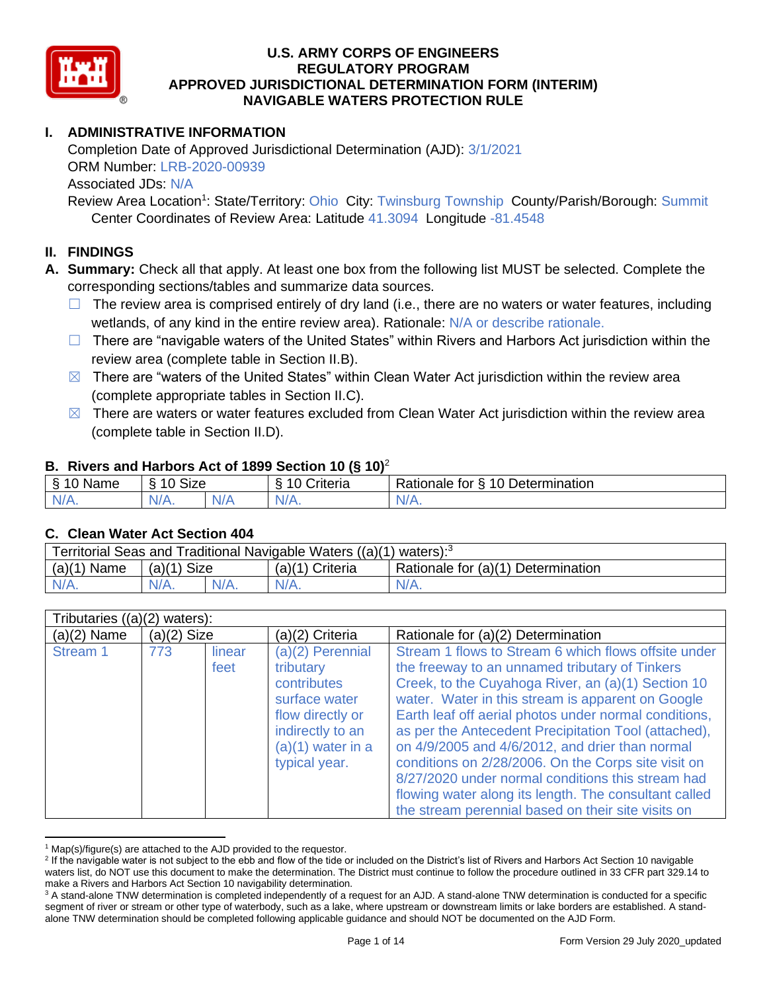

# **I. ADMINISTRATIVE INFORMATION**

Completion Date of Approved Jurisdictional Determination (AJD): 3/1/2021 ORM Number: LRB-2020-00939 Associated JDs: N/A

Review Area Location<sup>1</sup>: State/Territory: Ohio City: Twinsburg Township County/Parish/Borough: Summit Center Coordinates of Review Area: Latitude 41.3094 Longitude -81.4548

## **II. FINDINGS**

**A. Summary:** Check all that apply. At least one box from the following list MUST be selected. Complete the corresponding sections/tables and summarize data sources.

- $\Box$  The review area is comprised entirely of dry land (i.e., there are no waters or water features, including wetlands, of any kind in the entire review area). Rationale: N/A or describe rationale.
- $\Box$  There are "navigable waters of the United States" within Rivers and Harbors Act jurisdiction within the review area (complete table in Section II.B).
- $\boxtimes$  There are "waters of the United States" within Clean Water Act jurisdiction within the review area (complete appropriate tables in Section II.C).
- $\boxtimes$  There are waters or water features excluded from Clean Water Act jurisdiction within the review area (complete table in Section II.D).

### **B. Rivers and Harbors Act of 1899 Section 10 (§ 10)**<sup>2</sup>

| . .                                        |                      |   |                                 |                                                      |  |  |
|--------------------------------------------|----------------------|---|---------------------------------|------------------------------------------------------|--|--|
| £.<br>$-$<br>lame<br>$\tilde{\phantom{a}}$ | $\sim$<br>10<br>SIZE |   | $\cdots$<br>۱0<br>-<br>;riteria | Determination<br>$\sqrt{ }$<br>-<br>tor<br>≺ationale |  |  |
| $N/A$ .                                    | N/A.                 | . | $N/A$ .                         | N/A.                                                 |  |  |

#### **C. Clean Water Act Section 404**

| Territorial Seas and Traditional Navigable Waters ((a)(1) waters): $3$ |               |  |                   |                                    |  |  |
|------------------------------------------------------------------------|---------------|--|-------------------|------------------------------------|--|--|
| (a)(1)<br>Mame :                                                       | $(a)(1)$ Size |  | $(a)(1)$ Criteria | Rationale for (a)(1) Determination |  |  |
|                                                                        | $N/A$ .       |  | N/A               | $N/A$ .                            |  |  |

| Tributaries $((a)(2)$ waters): |               |                |                                                                                                                                                 |                                                                                                                                                                                                                                                                                                                                                                                                                                                                                                                                                                                                                  |  |  |
|--------------------------------|---------------|----------------|-------------------------------------------------------------------------------------------------------------------------------------------------|------------------------------------------------------------------------------------------------------------------------------------------------------------------------------------------------------------------------------------------------------------------------------------------------------------------------------------------------------------------------------------------------------------------------------------------------------------------------------------------------------------------------------------------------------------------------------------------------------------------|--|--|
| $(a)(2)$ Name                  | $(a)(2)$ Size |                | (a)(2) Criteria                                                                                                                                 | Rationale for (a)(2) Determination                                                                                                                                                                                                                                                                                                                                                                                                                                                                                                                                                                               |  |  |
| Stream 1                       | 773           | linear<br>feet | $(a)(2)$ Perennial<br>tributary<br>contributes<br>surface water<br>flow directly or<br>indirectly to an<br>$(a)(1)$ water in a<br>typical year. | Stream 1 flows to Stream 6 which flows offsite under<br>the freeway to an unnamed tributary of Tinkers<br>Creek, to the Cuyahoga River, an (a)(1) Section 10<br>water. Water in this stream is apparent on Google<br>Earth leaf off aerial photos under normal conditions,<br>as per the Antecedent Precipitation Tool (attached),<br>on 4/9/2005 and 4/6/2012, and drier than normal<br>conditions on 2/28/2006. On the Corps site visit on<br>8/27/2020 under normal conditions this stream had<br>flowing water along its length. The consultant called<br>the stream perennial based on their site visits on |  |  |

 $1$  Map(s)/figure(s) are attached to the AJD provided to the requestor.

<sup>&</sup>lt;sup>2</sup> If the navigable water is not subject to the ebb and flow of the tide or included on the District's list of Rivers and Harbors Act Section 10 navigable waters list, do NOT use this document to make the determination. The District must continue to follow the procedure outlined in 33 CFR part 329.14 to make a Rivers and Harbors Act Section 10 navigability determination.

<sup>&</sup>lt;sup>3</sup> A stand-alone TNW determination is completed independently of a request for an AJD. A stand-alone TNW determination is conducted for a specific segment of river or stream or other type of waterbody, such as a lake, where upstream or downstream limits or lake borders are established. A standalone TNW determination should be completed following applicable guidance and should NOT be documented on the AJD Form.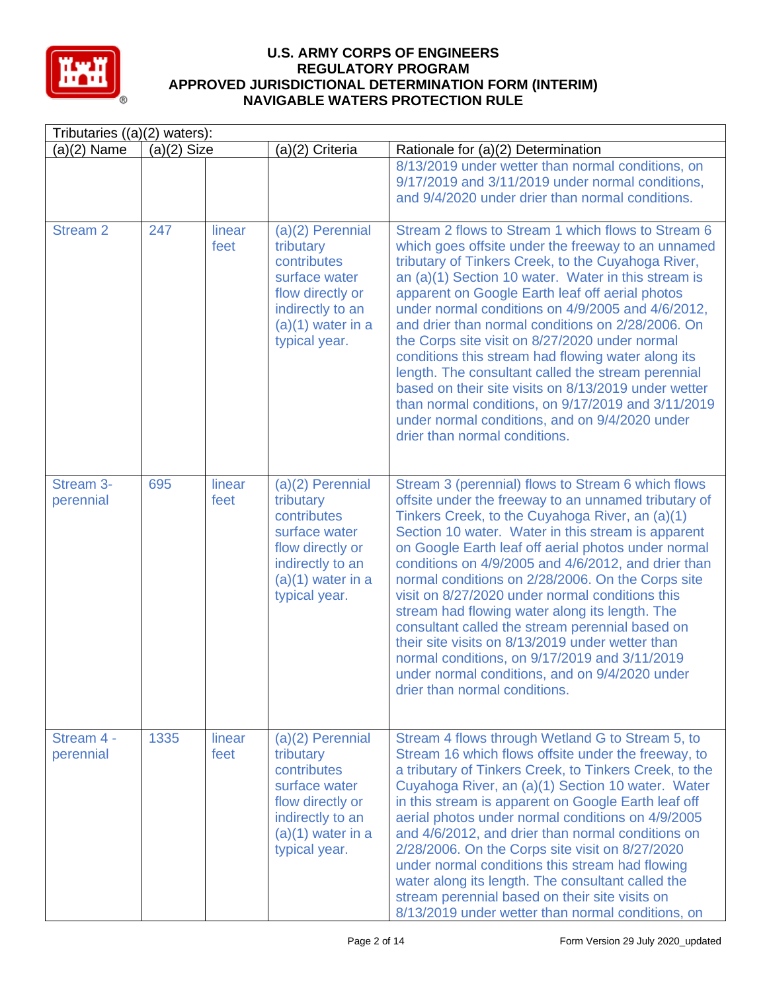

| Tributaries $((a)(2)$ waters): |               |                |                                                                                                                                                 |                                                                                                                                                                                                                                                                                                                                                                                                                                                                                                                                                                                                                                                                                                                                                   |  |
|--------------------------------|---------------|----------------|-------------------------------------------------------------------------------------------------------------------------------------------------|---------------------------------------------------------------------------------------------------------------------------------------------------------------------------------------------------------------------------------------------------------------------------------------------------------------------------------------------------------------------------------------------------------------------------------------------------------------------------------------------------------------------------------------------------------------------------------------------------------------------------------------------------------------------------------------------------------------------------------------------------|--|
| $(a)(2)$ Name                  | $(a)(2)$ Size |                | (a)(2) Criteria                                                                                                                                 | Rationale for (a)(2) Determination                                                                                                                                                                                                                                                                                                                                                                                                                                                                                                                                                                                                                                                                                                                |  |
|                                |               |                |                                                                                                                                                 | 8/13/2019 under wetter than normal conditions, on<br>9/17/2019 and 3/11/2019 under normal conditions,<br>and 9/4/2020 under drier than normal conditions.                                                                                                                                                                                                                                                                                                                                                                                                                                                                                                                                                                                         |  |
| <b>Stream 2</b>                | 247           | linear<br>feet | $(a)(2)$ Perennial<br>tributary<br>contributes<br>surface water<br>flow directly or<br>indirectly to an<br>$(a)(1)$ water in a<br>typical year. | Stream 2 flows to Stream 1 which flows to Stream 6<br>which goes offsite under the freeway to an unnamed<br>tributary of Tinkers Creek, to the Cuyahoga River,<br>an (a)(1) Section 10 water. Water in this stream is<br>apparent on Google Earth leaf off aerial photos<br>under normal conditions on 4/9/2005 and 4/6/2012,<br>and drier than normal conditions on 2/28/2006. On<br>the Corps site visit on 8/27/2020 under normal<br>conditions this stream had flowing water along its<br>length. The consultant called the stream perennial<br>based on their site visits on 8/13/2019 under wetter<br>than normal conditions, on 9/17/2019 and 3/11/2019<br>under normal conditions, and on 9/4/2020 under<br>drier than normal conditions. |  |
| Stream 3-<br>perennial         | 695           | linear<br>feet | (a)(2) Perennial<br>tributary<br>contributes<br>surface water<br>flow directly or<br>indirectly to an<br>$(a)(1)$ water in a<br>typical year.   | Stream 3 (perennial) flows to Stream 6 which flows<br>offsite under the freeway to an unnamed tributary of<br>Tinkers Creek, to the Cuyahoga River, an (a)(1)<br>Section 10 water. Water in this stream is apparent<br>on Google Earth leaf off aerial photos under normal<br>conditions on 4/9/2005 and 4/6/2012, and drier than<br>normal conditions on 2/28/2006. On the Corps site<br>visit on 8/27/2020 under normal conditions this<br>stream had flowing water along its length. The<br>consultant called the stream perennial based on<br>their site visits on 8/13/2019 under wetter than<br>normal conditions, on 9/17/2019 and 3/11/2019<br>under normal conditions, and on 9/4/2020 under<br>drier than normal conditions.            |  |
| Stream 4 -<br>perennial        | 1335          | linear<br>feet | $(a)(2)$ Perennial<br>tributary<br>contributes<br>surface water<br>flow directly or<br>indirectly to an<br>$(a)(1)$ water in a<br>typical year. | Stream 4 flows through Wetland G to Stream 5, to<br>Stream 16 which flows offsite under the freeway, to<br>a tributary of Tinkers Creek, to Tinkers Creek, to the<br>Cuyahoga River, an (a)(1) Section 10 water. Water<br>in this stream is apparent on Google Earth leaf off<br>aerial photos under normal conditions on 4/9/2005<br>and 4/6/2012, and drier than normal conditions on<br>2/28/2006. On the Corps site visit on 8/27/2020<br>under normal conditions this stream had flowing<br>water along its length. The consultant called the<br>stream perennial based on their site visits on<br>8/13/2019 under wetter than normal conditions, on                                                                                         |  |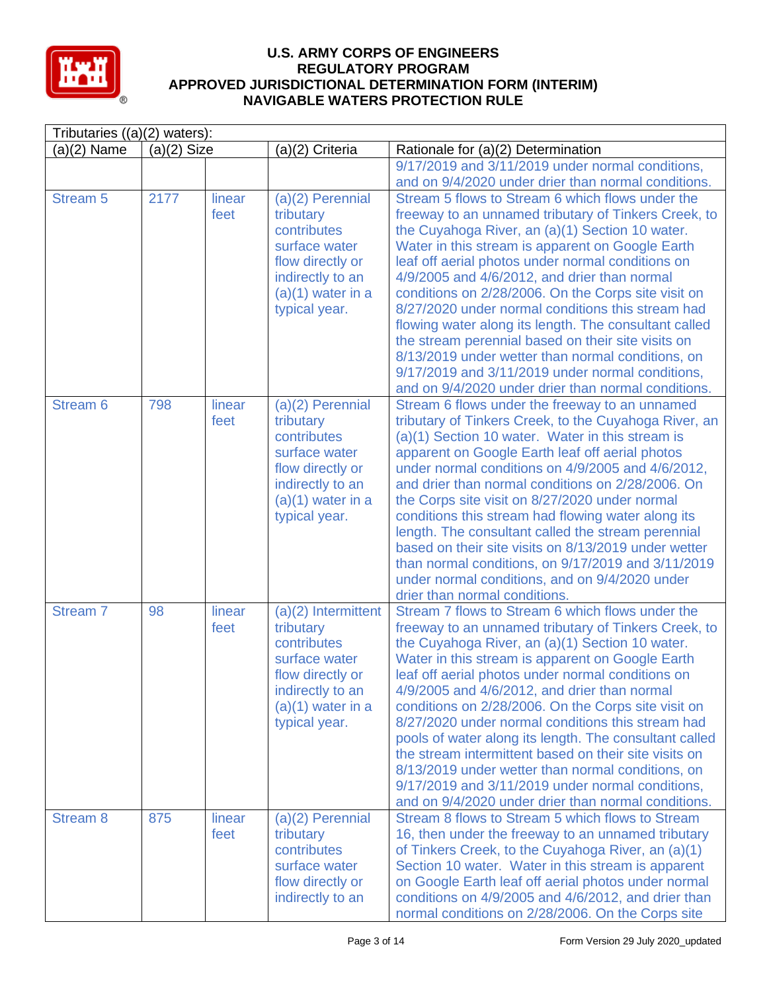

| Tributaries $((a)(2)$ waters): |               |                |                                                                                                                                                    |                                                                                                                                                                                                                                                                                                                                                                                                                                                                                                                                                                                                                                                                                                                     |  |
|--------------------------------|---------------|----------------|----------------------------------------------------------------------------------------------------------------------------------------------------|---------------------------------------------------------------------------------------------------------------------------------------------------------------------------------------------------------------------------------------------------------------------------------------------------------------------------------------------------------------------------------------------------------------------------------------------------------------------------------------------------------------------------------------------------------------------------------------------------------------------------------------------------------------------------------------------------------------------|--|
| $(a)(2)$ Name                  | $(a)(2)$ Size |                | (a)(2) Criteria                                                                                                                                    | Rationale for (a)(2) Determination                                                                                                                                                                                                                                                                                                                                                                                                                                                                                                                                                                                                                                                                                  |  |
|                                |               |                |                                                                                                                                                    | 9/17/2019 and 3/11/2019 under normal conditions,<br>and on 9/4/2020 under drier than normal conditions.                                                                                                                                                                                                                                                                                                                                                                                                                                                                                                                                                                                                             |  |
| <b>Stream 5</b>                | 2177          | linear<br>feet | (a)(2) Perennial<br>tributary<br>contributes<br>surface water<br>flow directly or<br>indirectly to an<br>$(a)(1)$ water in a<br>typical year.      | Stream 5 flows to Stream 6 which flows under the<br>freeway to an unnamed tributary of Tinkers Creek, to<br>the Cuyahoga River, an (a)(1) Section 10 water.<br>Water in this stream is apparent on Google Earth<br>leaf off aerial photos under normal conditions on<br>4/9/2005 and 4/6/2012, and drier than normal<br>conditions on 2/28/2006. On the Corps site visit on<br>8/27/2020 under normal conditions this stream had<br>flowing water along its length. The consultant called<br>the stream perennial based on their site visits on<br>8/13/2019 under wetter than normal conditions, on<br>9/17/2019 and 3/11/2019 under normal conditions,<br>and on 9/4/2020 under drier than normal conditions.     |  |
| Stream <sub>6</sub>            | 798           | linear<br>feet | (a)(2) Perennial<br>tributary<br>contributes<br>surface water<br>flow directly or<br>indirectly to an<br>$(a)(1)$ water in a<br>typical year.      | Stream 6 flows under the freeway to an unnamed<br>tributary of Tinkers Creek, to the Cuyahoga River, an<br>(a)(1) Section 10 water. Water in this stream is<br>apparent on Google Earth leaf off aerial photos<br>under normal conditions on 4/9/2005 and 4/6/2012,<br>and drier than normal conditions on 2/28/2006. On<br>the Corps site visit on 8/27/2020 under normal<br>conditions this stream had flowing water along its<br>length. The consultant called the stream perennial<br>based on their site visits on 8/13/2019 under wetter<br>than normal conditions, on 9/17/2019 and 3/11/2019<br>under normal conditions, and on 9/4/2020 under<br>drier than normal conditions.                             |  |
| Stream <sub>7</sub>            | 98            | linear<br>feet | $(a)(2)$ Intermittent<br>tributary<br>contributes<br>surface water<br>flow directly or<br>indirectly to an<br>$(a)(1)$ water in a<br>typical year. | Stream 7 flows to Stream 6 which flows under the<br>freeway to an unnamed tributary of Tinkers Creek, to<br>the Cuyahoga River, an (a)(1) Section 10 water.<br>Water in this stream is apparent on Google Earth<br>leaf off aerial photos under normal conditions on<br>4/9/2005 and 4/6/2012, and drier than normal<br>conditions on 2/28/2006. On the Corps site visit on<br>8/27/2020 under normal conditions this stream had<br>pools of water along its length. The consultant called<br>the stream intermittent based on their site visits on<br>8/13/2019 under wetter than normal conditions, on<br>9/17/2019 and 3/11/2019 under normal conditions,<br>and on 9/4/2020 under drier than normal conditions. |  |
| <b>Stream 8</b>                | 875           | linear<br>feet | $(a)(2)$ Perennial<br>tributary<br>contributes<br>surface water<br>flow directly or<br>indirectly to an                                            | Stream 8 flows to Stream 5 which flows to Stream<br>16, then under the freeway to an unnamed tributary<br>of Tinkers Creek, to the Cuyahoga River, an (a)(1)<br>Section 10 water. Water in this stream is apparent<br>on Google Earth leaf off aerial photos under normal<br>conditions on 4/9/2005 and 4/6/2012, and drier than<br>normal conditions on 2/28/2006. On the Corps site                                                                                                                                                                                                                                                                                                                               |  |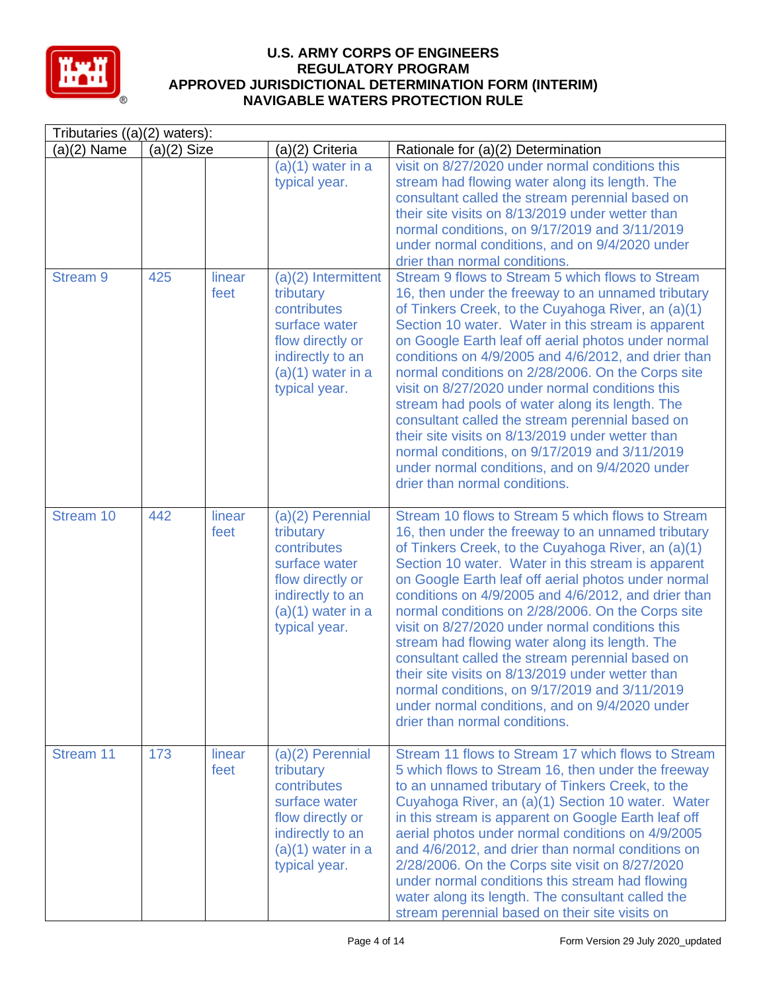

|                 | Tributaries $((a)(2)$ waters): |                |                                                                                                                                                    |                                                                                                                                                                                                                                                                                                                                                                                                                                                                                                                                                                                                                                                                                                                                        |  |  |
|-----------------|--------------------------------|----------------|----------------------------------------------------------------------------------------------------------------------------------------------------|----------------------------------------------------------------------------------------------------------------------------------------------------------------------------------------------------------------------------------------------------------------------------------------------------------------------------------------------------------------------------------------------------------------------------------------------------------------------------------------------------------------------------------------------------------------------------------------------------------------------------------------------------------------------------------------------------------------------------------------|--|--|
| $(a)(2)$ Name   | $(a)(2)$ Size                  |                | (a)(2) Criteria                                                                                                                                    | Rationale for (a)(2) Determination                                                                                                                                                                                                                                                                                                                                                                                                                                                                                                                                                                                                                                                                                                     |  |  |
|                 |                                |                | $(a)(1)$ water in a<br>typical year.                                                                                                               | visit on 8/27/2020 under normal conditions this<br>stream had flowing water along its length. The<br>consultant called the stream perennial based on<br>their site visits on 8/13/2019 under wetter than<br>normal conditions, on 9/17/2019 and 3/11/2019<br>under normal conditions, and on 9/4/2020 under<br>drier than normal conditions.                                                                                                                                                                                                                                                                                                                                                                                           |  |  |
| <b>Stream 9</b> | 425                            | linear<br>feet | $(a)(2)$ Intermittent<br>tributary<br>contributes<br>surface water<br>flow directly or<br>indirectly to an<br>$(a)(1)$ water in a<br>typical year. | Stream 9 flows to Stream 5 which flows to Stream<br>16, then under the freeway to an unnamed tributary<br>of Tinkers Creek, to the Cuyahoga River, an (a)(1)<br>Section 10 water. Water in this stream is apparent<br>on Google Earth leaf off aerial photos under normal<br>conditions on 4/9/2005 and 4/6/2012, and drier than<br>normal conditions on 2/28/2006. On the Corps site<br>visit on 8/27/2020 under normal conditions this<br>stream had pools of water along its length. The<br>consultant called the stream perennial based on<br>their site visits on 8/13/2019 under wetter than<br>normal conditions, on 9/17/2019 and 3/11/2019<br>under normal conditions, and on 9/4/2020 under<br>drier than normal conditions. |  |  |
| Stream 10       | 442                            | linear<br>feet | $(a)(2)$ Perennial<br>tributary<br>contributes<br>surface water<br>flow directly or<br>indirectly to an<br>$(a)(1)$ water in a<br>typical year.    | Stream 10 flows to Stream 5 which flows to Stream<br>16, then under the freeway to an unnamed tributary<br>of Tinkers Creek, to the Cuyahoga River, an (a)(1)<br>Section 10 water. Water in this stream is apparent<br>on Google Earth leaf off aerial photos under normal<br>conditions on 4/9/2005 and 4/6/2012, and drier than<br>normal conditions on 2/28/2006. On the Corps site<br>visit on 8/27/2020 under normal conditions this<br>stream had flowing water along its length. The<br>consultant called the stream perennial based on<br>their site visits on 8/13/2019 under wetter than<br>normal conditions, on 9/17/2019 and 3/11/2019<br>under normal conditions, and on 9/4/2020 under<br>drier than normal conditions. |  |  |
| Stream 11       | 173                            | linear<br>feet | $(a)(2)$ Perennial<br>tributary<br>contributes<br>surface water<br>flow directly or<br>indirectly to an<br>$(a)(1)$ water in a<br>typical year.    | Stream 11 flows to Stream 17 which flows to Stream<br>5 which flows to Stream 16, then under the freeway<br>to an unnamed tributary of Tinkers Creek, to the<br>Cuyahoga River, an (a)(1) Section 10 water. Water<br>in this stream is apparent on Google Earth leaf off<br>aerial photos under normal conditions on 4/9/2005<br>and 4/6/2012, and drier than normal conditions on<br>2/28/2006. On the Corps site visit on 8/27/2020<br>under normal conditions this stream had flowing<br>water along its length. The consultant called the<br>stream perennial based on their site visits on                                                                                                                                        |  |  |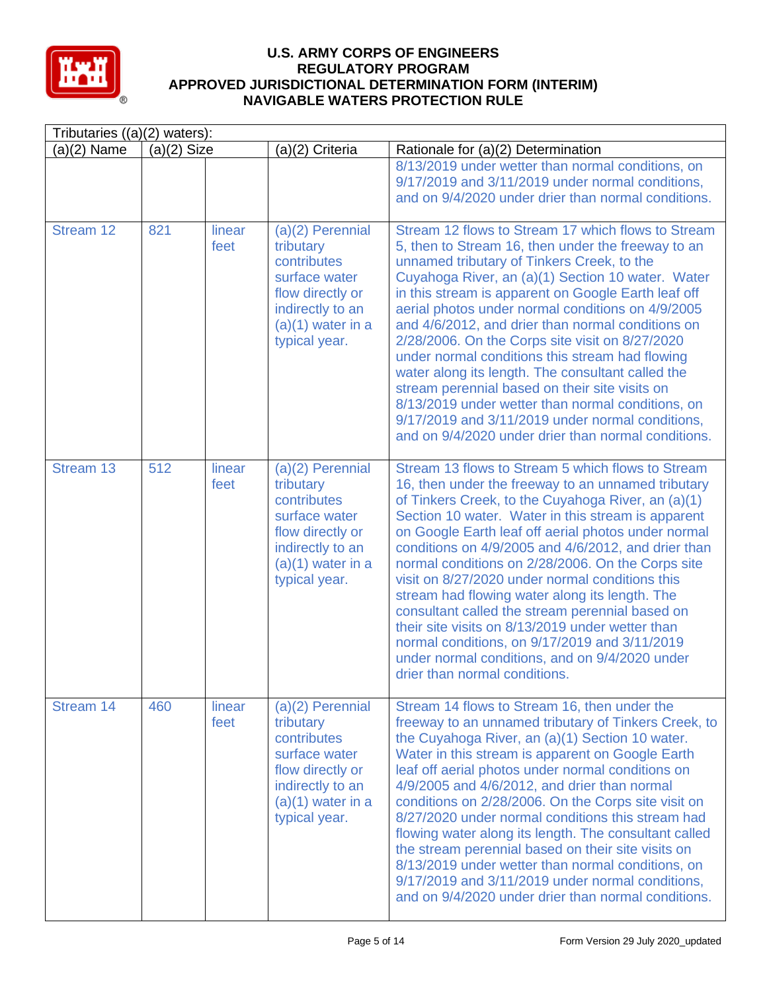

| Tributaries ((a)(2) waters): |               |                |                                                                                                                                                 |                                                                                                                                                                                                                                                                                                                                                                                                                                                                                                                                                                                                                                                                                                                                                           |  |
|------------------------------|---------------|----------------|-------------------------------------------------------------------------------------------------------------------------------------------------|-----------------------------------------------------------------------------------------------------------------------------------------------------------------------------------------------------------------------------------------------------------------------------------------------------------------------------------------------------------------------------------------------------------------------------------------------------------------------------------------------------------------------------------------------------------------------------------------------------------------------------------------------------------------------------------------------------------------------------------------------------------|--|
| $(a)(2)$ Name                | $(a)(2)$ Size |                | (a)(2) Criteria                                                                                                                                 | Rationale for (a)(2) Determination                                                                                                                                                                                                                                                                                                                                                                                                                                                                                                                                                                                                                                                                                                                        |  |
|                              |               |                |                                                                                                                                                 | 8/13/2019 under wetter than normal conditions, on<br>9/17/2019 and 3/11/2019 under normal conditions,<br>and on 9/4/2020 under drier than normal conditions.                                                                                                                                                                                                                                                                                                                                                                                                                                                                                                                                                                                              |  |
| Stream 12                    | 821           | linear<br>feet | $(a)(2)$ Perennial<br>tributary<br>contributes<br>surface water<br>flow directly or<br>indirectly to an<br>$(a)(1)$ water in a<br>typical year. | Stream 12 flows to Stream 17 which flows to Stream<br>5, then to Stream 16, then under the freeway to an<br>unnamed tributary of Tinkers Creek, to the<br>Cuyahoga River, an (a)(1) Section 10 water. Water<br>in this stream is apparent on Google Earth leaf off<br>aerial photos under normal conditions on 4/9/2005<br>and 4/6/2012, and drier than normal conditions on<br>2/28/2006. On the Corps site visit on 8/27/2020<br>under normal conditions this stream had flowing<br>water along its length. The consultant called the<br>stream perennial based on their site visits on<br>8/13/2019 under wetter than normal conditions, on<br>9/17/2019 and 3/11/2019 under normal conditions,<br>and on 9/4/2020 under drier than normal conditions. |  |
| Stream 13                    | 512           | linear<br>feet | (a)(2) Perennial<br>tributary<br>contributes<br>surface water<br>flow directly or<br>indirectly to an<br>$(a)(1)$ water in a<br>typical year.   | Stream 13 flows to Stream 5 which flows to Stream<br>16, then under the freeway to an unnamed tributary<br>of Tinkers Creek, to the Cuyahoga River, an (a)(1)<br>Section 10 water. Water in this stream is apparent<br>on Google Earth leaf off aerial photos under normal<br>conditions on 4/9/2005 and 4/6/2012, and drier than<br>normal conditions on 2/28/2006. On the Corps site<br>visit on 8/27/2020 under normal conditions this<br>stream had flowing water along its length. The<br>consultant called the stream perennial based on<br>their site visits on 8/13/2019 under wetter than<br>normal conditions, on 9/17/2019 and 3/11/2019<br>under normal conditions, and on 9/4/2020 under<br>drier than normal conditions.                    |  |
| Stream 14                    | 460           | linear<br>feet | $(a)(2)$ Perennial<br>tributary<br>contributes<br>surface water<br>flow directly or<br>indirectly to an<br>$(a)(1)$ water in a<br>typical year. | Stream 14 flows to Stream 16, then under the<br>freeway to an unnamed tributary of Tinkers Creek, to<br>the Cuyahoga River, an (a)(1) Section 10 water.<br>Water in this stream is apparent on Google Earth<br>leaf off aerial photos under normal conditions on<br>4/9/2005 and 4/6/2012, and drier than normal<br>conditions on 2/28/2006. On the Corps site visit on<br>8/27/2020 under normal conditions this stream had<br>flowing water along its length. The consultant called<br>the stream perennial based on their site visits on<br>8/13/2019 under wetter than normal conditions, on<br>9/17/2019 and 3/11/2019 under normal conditions,<br>and on 9/4/2020 under drier than normal conditions.                                               |  |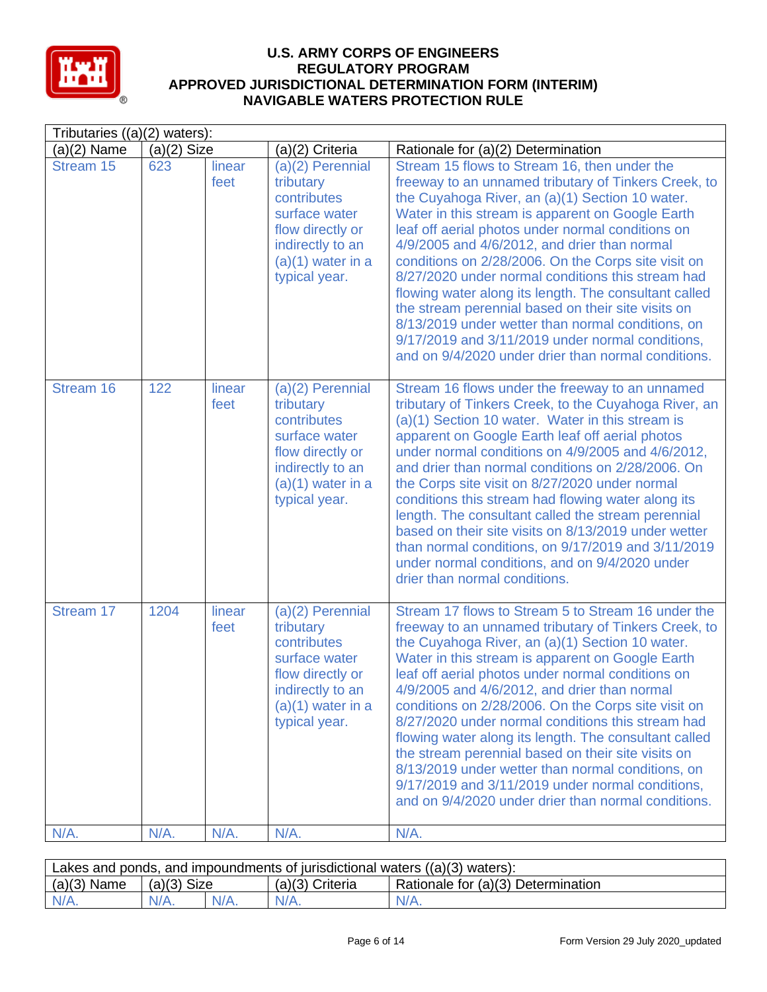

| Tributaries $((a)(2)$ waters): |               |                |                                                                                                                                                 |                                                                                                                                                                                                                                                                                                                                                                                                                                                                                                                                                                                                                                                                                                                   |  |  |
|--------------------------------|---------------|----------------|-------------------------------------------------------------------------------------------------------------------------------------------------|-------------------------------------------------------------------------------------------------------------------------------------------------------------------------------------------------------------------------------------------------------------------------------------------------------------------------------------------------------------------------------------------------------------------------------------------------------------------------------------------------------------------------------------------------------------------------------------------------------------------------------------------------------------------------------------------------------------------|--|--|
| $(a)(2)$ Name                  | $(a)(2)$ Size |                | (a)(2) Criteria                                                                                                                                 | Rationale for (a)(2) Determination                                                                                                                                                                                                                                                                                                                                                                                                                                                                                                                                                                                                                                                                                |  |  |
| Stream 15                      | 623           | linear<br>feet | (a)(2) Perennial<br>tributary<br>contributes<br>surface water<br>flow directly or<br>indirectly to an<br>$(a)(1)$ water in a<br>typical year.   | Stream 15 flows to Stream 16, then under the<br>freeway to an unnamed tributary of Tinkers Creek, to<br>the Cuyahoga River, an (a)(1) Section 10 water.<br>Water in this stream is apparent on Google Earth<br>leaf off aerial photos under normal conditions on<br>4/9/2005 and 4/6/2012, and drier than normal<br>conditions on 2/28/2006. On the Corps site visit on<br>8/27/2020 under normal conditions this stream had<br>flowing water along its length. The consultant called<br>the stream perennial based on their site visits on<br>8/13/2019 under wetter than normal conditions, on<br>9/17/2019 and 3/11/2019 under normal conditions,<br>and on 9/4/2020 under drier than normal conditions.       |  |  |
| Stream 16                      | 122           | linear<br>feet | $(a)(2)$ Perennial<br>tributary<br>contributes<br>surface water<br>flow directly or<br>indirectly to an<br>$(a)(1)$ water in a<br>typical year. | Stream 16 flows under the freeway to an unnamed<br>tributary of Tinkers Creek, to the Cuyahoga River, an<br>(a)(1) Section 10 water. Water in this stream is<br>apparent on Google Earth leaf off aerial photos<br>under normal conditions on 4/9/2005 and 4/6/2012,<br>and drier than normal conditions on 2/28/2006. On<br>the Corps site visit on 8/27/2020 under normal<br>conditions this stream had flowing water along its<br>length. The consultant called the stream perennial<br>based on their site visits on 8/13/2019 under wetter<br>than normal conditions, on 9/17/2019 and 3/11/2019<br>under normal conditions, and on 9/4/2020 under<br>drier than normal conditions.                          |  |  |
| Stream 17                      | 1204          | linear<br>feet | $(a)(2)$ Perennial<br>tributary<br>contributes<br>surface water<br>flow directly or<br>indirectly to an<br>$(a)(1)$ water in a<br>typical year. | Stream 17 flows to Stream 5 to Stream 16 under the<br>freeway to an unnamed tributary of Tinkers Creek, to<br>the Cuyahoga River, an (a)(1) Section 10 water.<br>Water in this stream is apparent on Google Earth<br>leaf off aerial photos under normal conditions on<br>4/9/2005 and 4/6/2012, and drier than normal<br>conditions on 2/28/2006. On the Corps site visit on<br>8/27/2020 under normal conditions this stream had<br>flowing water along its length. The consultant called<br>the stream perennial based on their site visits on<br>8/13/2019 under wetter than normal conditions, on<br>9/17/2019 and 3/11/2019 under normal conditions,<br>and on 9/4/2020 under drier than normal conditions. |  |  |
| N/A.                           | N/A.          | N/A.           | N/A.                                                                                                                                            | N/A.                                                                                                                                                                                                                                                                                                                                                                                                                                                                                                                                                                                                                                                                                                              |  |  |

| 'Lakes and ponds, and impoundments of jurisdictional waters ((a)(3) waters): |               |  |                   |                                                 |  |
|------------------------------------------------------------------------------|---------------|--|-------------------|-------------------------------------------------|--|
| $(a)(3)$ Name                                                                | $(a)(3)$ Size |  | $(a)(3)$ Criteria | <sup>1</sup> Rationale for (a)(3) Determination |  |
|                                                                              | $N/A$ .       |  | $N/A$ .           | $N/A$ .                                         |  |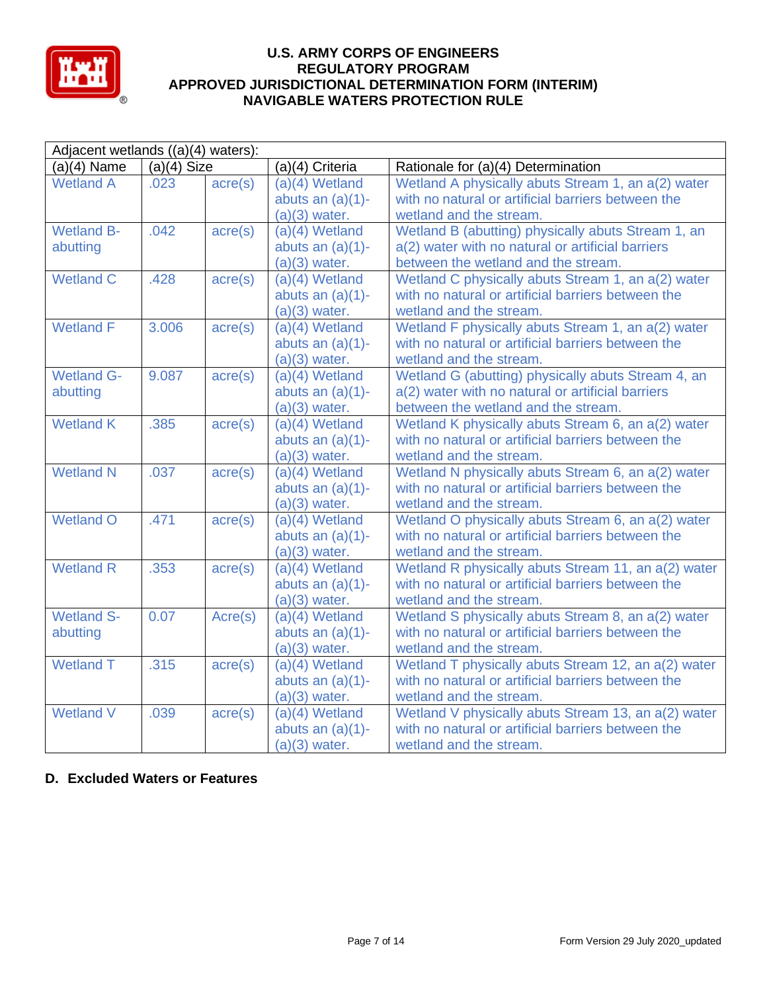

| Adjacent wetlands ((a)(4) waters): |               |                  |                     |                                                     |  |
|------------------------------------|---------------|------------------|---------------------|-----------------------------------------------------|--|
| $(a)(4)$ Name                      | $(a)(4)$ Size |                  | (a)(4) Criteria     | Rationale for (a)(4) Determination                  |  |
| <b>Wetland A</b>                   | .023          | $\text{acre}(s)$ | $(a)(4)$ Wetland    | Wetland A physically abuts Stream 1, an a(2) water  |  |
|                                    |               |                  | abuts an $(a)(1)$ - | with no natural or artificial barriers between the  |  |
|                                    |               |                  | $(a)(3)$ water.     | wetland and the stream.                             |  |
| <b>Wetland B-</b>                  | .042          | $\text{acre}(s)$ | $(a)(4)$ Wetland    | Wetland B (abutting) physically abuts Stream 1, an  |  |
| abutting                           |               |                  | abuts an $(a)(1)$ - | a(2) water with no natural or artificial barriers   |  |
|                                    |               |                  | $(a)(3)$ water.     | between the wetland and the stream.                 |  |
| <b>Wetland C</b>                   | .428          | $\text{acre}(s)$ | $(a)(4)$ Wetland    | Wetland C physically abuts Stream 1, an a(2) water  |  |
|                                    |               |                  | abuts an $(a)(1)$ - | with no natural or artificial barriers between the  |  |
|                                    |               |                  | $(a)(3)$ water.     | wetland and the stream.                             |  |
| <b>Wetland F</b>                   | 3.006         | $\text{acre}(s)$ | $(a)(4)$ Wetland    | Wetland F physically abuts Stream 1, an a(2) water  |  |
|                                    |               |                  | abuts an $(a)(1)$ - | with no natural or artificial barriers between the  |  |
|                                    |               |                  | $(a)(3)$ water.     | wetland and the stream.                             |  |
| <b>Wetland G-</b>                  | 9.087         | $\text{acre}(s)$ | $(a)(4)$ Wetland    | Wetland G (abutting) physically abuts Stream 4, an  |  |
| abutting                           |               |                  | abuts an $(a)(1)$ - | a(2) water with no natural or artificial barriers   |  |
|                                    |               |                  | $(a)(3)$ water.     | between the wetland and the stream.                 |  |
| <b>Wetland K</b>                   | .385          | $\text{acre}(s)$ | $(a)(4)$ Wetland    | Wetland K physically abuts Stream 6, an a(2) water  |  |
|                                    |               |                  | abuts an $(a)(1)$ - | with no natural or artificial barriers between the  |  |
|                                    |               |                  | $(a)(3)$ water.     | wetland and the stream.                             |  |
| <b>Wetland N</b>                   | .037          | $\text{acre}(s)$ | (a)(4) Wetland      | Wetland N physically abuts Stream 6, an a(2) water  |  |
|                                    |               |                  | abuts an $(a)(1)$ - | with no natural or artificial barriers between the  |  |
|                                    |               |                  | $(a)(3)$ water.     | wetland and the stream.                             |  |
| <b>Wetland O</b>                   | .471          | $\text{acre}(s)$ | $(a)(4)$ Wetland    | Wetland O physically abuts Stream 6, an a(2) water  |  |
|                                    |               |                  | abuts an $(a)(1)$ - | with no natural or artificial barriers between the  |  |
|                                    |               |                  | $(a)(3)$ water.     | wetland and the stream.                             |  |
| <b>Wetland R</b>                   | .353          | $\text{acre}(s)$ | (a)(4) Wetland      | Wetland R physically abuts Stream 11, an a(2) water |  |
|                                    |               |                  | abuts an $(a)(1)$ - | with no natural or artificial barriers between the  |  |
|                                    |               |                  | $(a)(3)$ water.     | wetland and the stream.                             |  |
| <b>Wetland S-</b>                  | 0.07          | Acre(s)          | $(a)(4)$ Wetland    | Wetland S physically abuts Stream 8, an a(2) water  |  |
| abutting                           |               |                  | abuts an $(a)(1)$ - | with no natural or artificial barriers between the  |  |
|                                    |               |                  | $(a)(3)$ water.     | wetland and the stream.                             |  |
| <b>Wetland T</b>                   | .315          | $\text{acre}(s)$ | $(a)(4)$ Wetland    | Wetland T physically abuts Stream 12, an a(2) water |  |
|                                    |               |                  | abuts an $(a)(1)$ - | with no natural or artificial barriers between the  |  |
|                                    |               |                  | $(a)(3)$ water.     | wetland and the stream.                             |  |
| <b>Wetland V</b>                   | .039          | $\text{acre}(s)$ | $(a)(4)$ Wetland    | Wetland V physically abuts Stream 13, an a(2) water |  |
|                                    |               |                  | abuts an $(a)(1)$ - | with no natural or artificial barriers between the  |  |
|                                    |               |                  | $(a)(3)$ water.     | wetland and the stream.                             |  |

# **D. Excluded Waters or Features**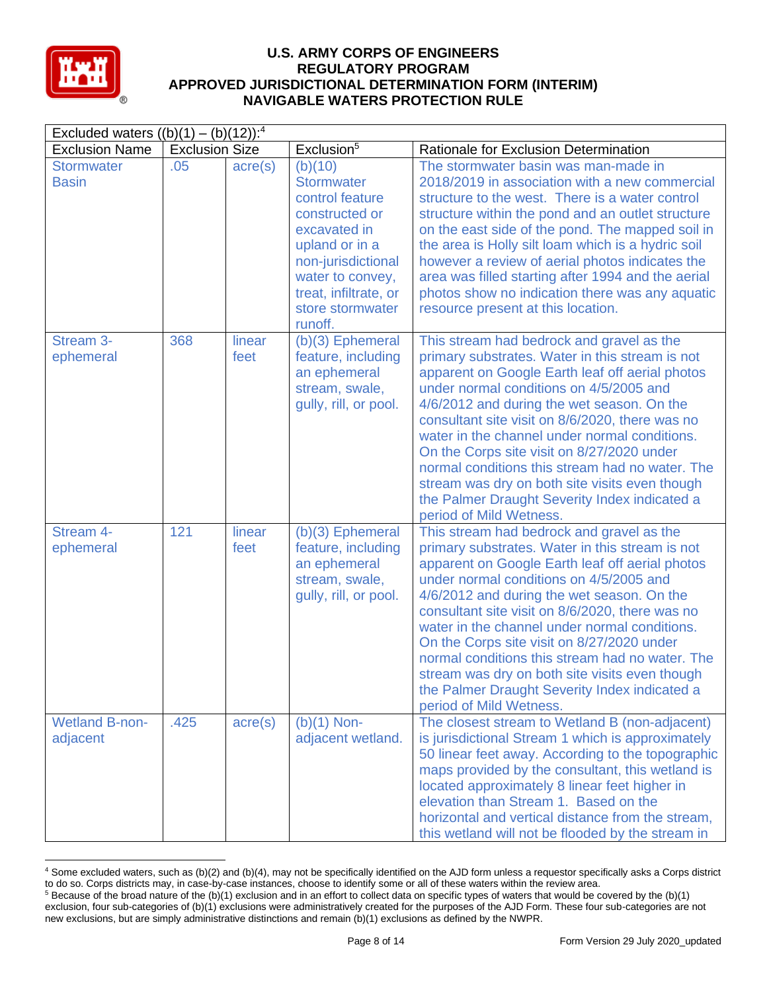

| Excluded waters $((b)(1) - (b)(12))$ : <sup>4</sup> |                       |                  |                                                                                                                                                                                                       |                                                                                                                                                                                                                                                                                                                                                                                                                                                                                                                                                                             |  |  |
|-----------------------------------------------------|-----------------------|------------------|-------------------------------------------------------------------------------------------------------------------------------------------------------------------------------------------------------|-----------------------------------------------------------------------------------------------------------------------------------------------------------------------------------------------------------------------------------------------------------------------------------------------------------------------------------------------------------------------------------------------------------------------------------------------------------------------------------------------------------------------------------------------------------------------------|--|--|
| <b>Exclusion Name</b>                               | <b>Exclusion Size</b> |                  | Exclusion <sup>5</sup>                                                                                                                                                                                | Rationale for Exclusion Determination                                                                                                                                                                                                                                                                                                                                                                                                                                                                                                                                       |  |  |
| <b>Stormwater</b><br><b>Basin</b>                   | .05                   | $\text{acre}(s)$ | (b)(10)<br><b>Stormwater</b><br>control feature<br>constructed or<br>excavated in<br>upland or in a<br>non-jurisdictional<br>water to convey,<br>treat, infiltrate, or<br>store stormwater<br>runoff. | The stormwater basin was man-made in<br>2018/2019 in association with a new commercial<br>structure to the west. There is a water control<br>structure within the pond and an outlet structure<br>on the east side of the pond. The mapped soil in<br>the area is Holly silt loam which is a hydric soil<br>however a review of aerial photos indicates the<br>area was filled starting after 1994 and the aerial<br>photos show no indication there was any aquatic<br>resource present at this location.                                                                  |  |  |
| Stream 3-<br>ephemeral                              | 368                   | linear<br>feet   | $(b)(3)$ Ephemeral<br>feature, including<br>an ephemeral<br>stream, swale,<br>gully, rill, or pool.                                                                                                   | This stream had bedrock and gravel as the<br>primary substrates. Water in this stream is not<br>apparent on Google Earth leaf off aerial photos<br>under normal conditions on 4/5/2005 and<br>4/6/2012 and during the wet season. On the<br>consultant site visit on 8/6/2020, there was no<br>water in the channel under normal conditions.<br>On the Corps site visit on 8/27/2020 under<br>normal conditions this stream had no water. The<br>stream was dry on both site visits even though<br>the Palmer Draught Severity Index indicated a<br>period of Mild Wetness. |  |  |
| Stream 4-<br>ephemeral                              | 121                   | linear<br>feet   | $(b)(3)$ Ephemeral<br>feature, including<br>an ephemeral<br>stream, swale,<br>gully, rill, or pool.                                                                                                   | This stream had bedrock and gravel as the<br>primary substrates. Water in this stream is not<br>apparent on Google Earth leaf off aerial photos<br>under normal conditions on 4/5/2005 and<br>4/6/2012 and during the wet season. On the<br>consultant site visit on 8/6/2020, there was no<br>water in the channel under normal conditions.<br>On the Corps site visit on 8/27/2020 under<br>normal conditions this stream had no water. The<br>stream was dry on both site visits even though<br>the Palmer Draught Severity Index indicated a<br>period of Mild Wetness. |  |  |
| <b>Wetland B-non-</b><br>adjacent                   | .425                  | acre(s)          | $(b)(1)$ Non-<br>adjacent wetland.                                                                                                                                                                    | The closest stream to Wetland B (non-adjacent)<br>is jurisdictional Stream 1 which is approximately<br>50 linear feet away. According to the topographic<br>maps provided by the consultant, this wetland is<br>located approximately 8 linear feet higher in<br>elevation than Stream 1. Based on the<br>horizontal and vertical distance from the stream,<br>this wetland will not be flooded by the stream in                                                                                                                                                            |  |  |

<sup>4</sup> Some excluded waters, such as (b)(2) and (b)(4), may not be specifically identified on the AJD form unless a requestor specifically asks a Corps district to do so. Corps districts may, in case-by-case instances, choose to identify some or all of these waters within the review area.  $5$  Because of the broad nature of the (b)(1) exclusion and in an effort to collect data on specific types of waters that would be covered by the (b)(1)

exclusion, four sub-categories of (b)(1) exclusions were administratively created for the purposes of the AJD Form. These four sub-categories are not new exclusions, but are simply administrative distinctions and remain (b)(1) exclusions as defined by the NWPR.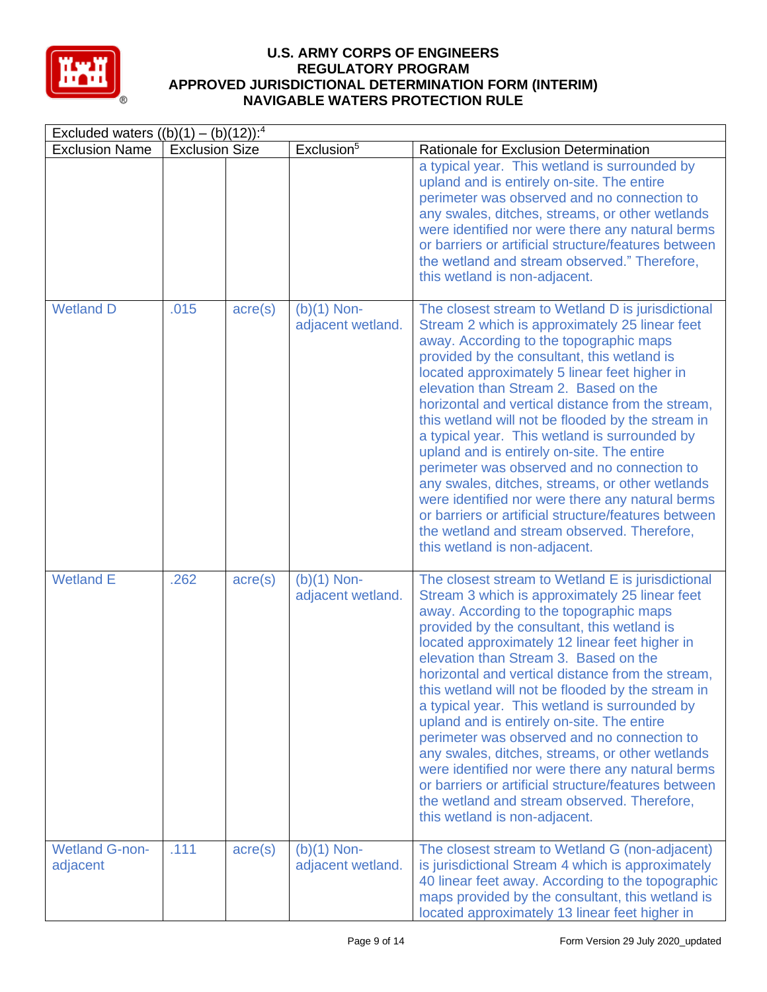

| Excluded waters $((b)(1) - (b)(12))$ : <sup>4</sup> |                       |                  |                                    |                                                                                                                                                                                                                                                                                                                                                                                                                                                                                                                                                                                                                                                                                                                                                                                                 |  |  |
|-----------------------------------------------------|-----------------------|------------------|------------------------------------|-------------------------------------------------------------------------------------------------------------------------------------------------------------------------------------------------------------------------------------------------------------------------------------------------------------------------------------------------------------------------------------------------------------------------------------------------------------------------------------------------------------------------------------------------------------------------------------------------------------------------------------------------------------------------------------------------------------------------------------------------------------------------------------------------|--|--|
| <b>Exclusion Name</b>                               | <b>Exclusion Size</b> |                  | Exclusion <sup>5</sup>             | Rationale for Exclusion Determination                                                                                                                                                                                                                                                                                                                                                                                                                                                                                                                                                                                                                                                                                                                                                           |  |  |
|                                                     |                       |                  |                                    | a typical year. This wetland is surrounded by<br>upland and is entirely on-site. The entire<br>perimeter was observed and no connection to<br>any swales, ditches, streams, or other wetlands<br>were identified nor were there any natural berms<br>or barriers or artificial structure/features between<br>the wetland and stream observed." Therefore,<br>this wetland is non-adjacent.                                                                                                                                                                                                                                                                                                                                                                                                      |  |  |
| <b>Wetland D</b>                                    | .015                  | $\text{acre}(s)$ | $(b)(1)$ Non-<br>adjacent wetland. | The closest stream to Wetland D is jurisdictional<br>Stream 2 which is approximately 25 linear feet<br>away. According to the topographic maps<br>provided by the consultant, this wetland is<br>located approximately 5 linear feet higher in<br>elevation than Stream 2. Based on the<br>horizontal and vertical distance from the stream,<br>this wetland will not be flooded by the stream in<br>a typical year. This wetland is surrounded by<br>upland and is entirely on-site. The entire<br>perimeter was observed and no connection to<br>any swales, ditches, streams, or other wetlands<br>were identified nor were there any natural berms<br>or barriers or artificial structure/features between<br>the wetland and stream observed. Therefore,<br>this wetland is non-adjacent.  |  |  |
| <b>Wetland E</b>                                    | .262                  | $\text{acre}(s)$ | $(b)(1)$ Non-<br>adjacent wetland. | The closest stream to Wetland E is jurisdictional<br>Stream 3 which is approximately 25 linear feet<br>away. According to the topographic maps<br>provided by the consultant, this wetland is<br>located approximately 12 linear feet higher in<br>elevation than Stream 3. Based on the<br>horizontal and vertical distance from the stream,<br>this wetland will not be flooded by the stream in<br>a typical year. This wetland is surrounded by<br>upland and is entirely on-site. The entire<br>perimeter was observed and no connection to<br>any swales, ditches, streams, or other wetlands<br>were identified nor were there any natural berms<br>or barriers or artificial structure/features between<br>the wetland and stream observed. Therefore,<br>this wetland is non-adjacent. |  |  |
| <b>Wetland G-non-</b><br>adjacent                   | .111                  | $\text{acre}(s)$ | $(b)(1)$ Non-<br>adjacent wetland. | The closest stream to Wetland G (non-adjacent)<br>is jurisdictional Stream 4 which is approximately<br>40 linear feet away. According to the topographic<br>maps provided by the consultant, this wetland is<br>located approximately 13 linear feet higher in                                                                                                                                                                                                                                                                                                                                                                                                                                                                                                                                  |  |  |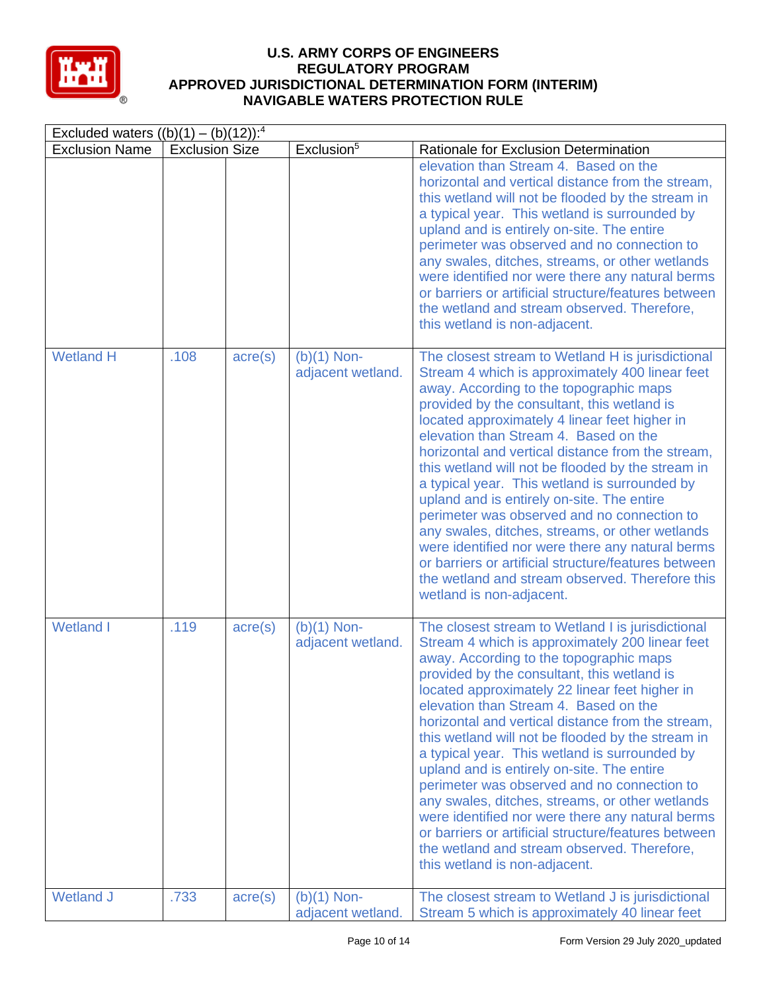

| Excluded waters $((b)(1) - (b)(12))$ : <sup>4</sup> |                       |                  |                                    |                                                                                                                                                                                                                                                                                                                                                                                                                                                                                                                                                                                                                                                                                                                                                                                                  |  |  |  |
|-----------------------------------------------------|-----------------------|------------------|------------------------------------|--------------------------------------------------------------------------------------------------------------------------------------------------------------------------------------------------------------------------------------------------------------------------------------------------------------------------------------------------------------------------------------------------------------------------------------------------------------------------------------------------------------------------------------------------------------------------------------------------------------------------------------------------------------------------------------------------------------------------------------------------------------------------------------------------|--|--|--|
| <b>Exclusion Name</b>                               | <b>Exclusion Size</b> |                  | Exclusion <sup>5</sup>             | Rationale for Exclusion Determination                                                                                                                                                                                                                                                                                                                                                                                                                                                                                                                                                                                                                                                                                                                                                            |  |  |  |
|                                                     |                       |                  |                                    | elevation than Stream 4. Based on the<br>horizontal and vertical distance from the stream,<br>this wetland will not be flooded by the stream in<br>a typical year. This wetland is surrounded by<br>upland and is entirely on-site. The entire<br>perimeter was observed and no connection to<br>any swales, ditches, streams, or other wetlands<br>were identified nor were there any natural berms<br>or barriers or artificial structure/features between<br>the wetland and stream observed. Therefore,<br>this wetland is non-adjacent.                                                                                                                                                                                                                                                     |  |  |  |
| <b>Wetland H</b>                                    | .108                  | $\text{acre}(s)$ | $(b)(1)$ Non-<br>adjacent wetland. | The closest stream to Wetland H is jurisdictional<br>Stream 4 which is approximately 400 linear feet<br>away. According to the topographic maps<br>provided by the consultant, this wetland is<br>located approximately 4 linear feet higher in<br>elevation than Stream 4. Based on the<br>horizontal and vertical distance from the stream,<br>this wetland will not be flooded by the stream in<br>a typical year. This wetland is surrounded by<br>upland and is entirely on-site. The entire<br>perimeter was observed and no connection to<br>any swales, ditches, streams, or other wetlands<br>were identified nor were there any natural berms<br>or barriers or artificial structure/features between<br>the wetland and stream observed. Therefore this<br>wetland is non-adjacent.   |  |  |  |
| <b>Wetland I</b>                                    | .119                  | $\text{acre}(s)$ | $(b)(1)$ Non-<br>adjacent wetland. | The closest stream to Wetland I is jurisdictional<br>Stream 4 which is approximately 200 linear feet<br>away. According to the topographic maps<br>provided by the consultant, this wetland is<br>located approximately 22 linear feet higher in<br>elevation than Stream 4. Based on the<br>horizontal and vertical distance from the stream,<br>this wetland will not be flooded by the stream in<br>a typical year. This wetland is surrounded by<br>upland and is entirely on-site. The entire<br>perimeter was observed and no connection to<br>any swales, ditches, streams, or other wetlands<br>were identified nor were there any natural berms<br>or barriers or artificial structure/features between<br>the wetland and stream observed. Therefore,<br>this wetland is non-adjacent. |  |  |  |
| <b>Wetland J</b>                                    | .733                  | $\text{acre}(s)$ | $(b)(1)$ Non-<br>adjacent wetland. | The closest stream to Wetland J is jurisdictional<br>Stream 5 which is approximately 40 linear feet                                                                                                                                                                                                                                                                                                                                                                                                                                                                                                                                                                                                                                                                                              |  |  |  |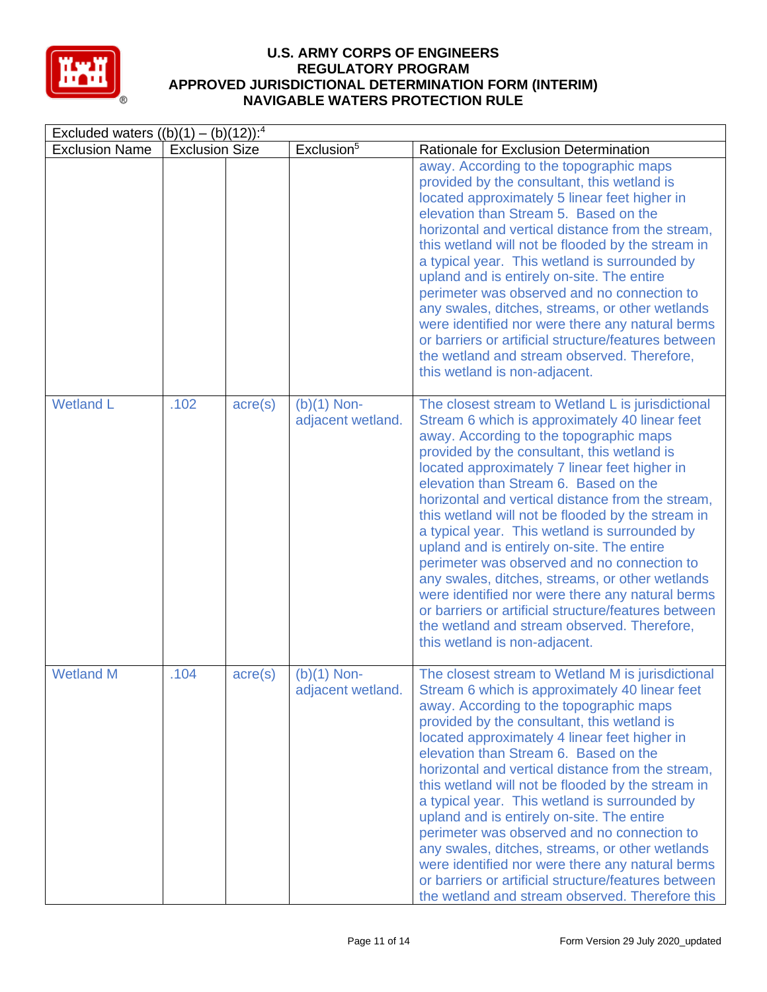

| Excluded waters $((b)(1) - (b)(12))$ : <sup>4</sup> |                       |                  |                                    |                                                                                                                                                                                                                                                                                                                                                                                                                                                                                                                                                                                                                                                                                                                                                                                                |  |  |  |
|-----------------------------------------------------|-----------------------|------------------|------------------------------------|------------------------------------------------------------------------------------------------------------------------------------------------------------------------------------------------------------------------------------------------------------------------------------------------------------------------------------------------------------------------------------------------------------------------------------------------------------------------------------------------------------------------------------------------------------------------------------------------------------------------------------------------------------------------------------------------------------------------------------------------------------------------------------------------|--|--|--|
| <b>Exclusion Name</b>                               | <b>Exclusion Size</b> |                  | Exclusion <sup>5</sup>             | Rationale for Exclusion Determination                                                                                                                                                                                                                                                                                                                                                                                                                                                                                                                                                                                                                                                                                                                                                          |  |  |  |
|                                                     |                       |                  |                                    | away. According to the topographic maps<br>provided by the consultant, this wetland is<br>located approximately 5 linear feet higher in<br>elevation than Stream 5. Based on the<br>horizontal and vertical distance from the stream,<br>this wetland will not be flooded by the stream in<br>a typical year. This wetland is surrounded by<br>upland and is entirely on-site. The entire<br>perimeter was observed and no connection to<br>any swales, ditches, streams, or other wetlands<br>were identified nor were there any natural berms<br>or barriers or artificial structure/features between<br>the wetland and stream observed. Therefore,<br>this wetland is non-adjacent.                                                                                                        |  |  |  |
| <b>Wetland L</b>                                    | .102                  | $\text{acre}(s)$ | $(b)(1)$ Non-<br>adjacent wetland. | The closest stream to Wetland L is jurisdictional<br>Stream 6 which is approximately 40 linear feet<br>away. According to the topographic maps<br>provided by the consultant, this wetland is<br>located approximately 7 linear feet higher in<br>elevation than Stream 6. Based on the<br>horizontal and vertical distance from the stream,<br>this wetland will not be flooded by the stream in<br>a typical year. This wetland is surrounded by<br>upland and is entirely on-site. The entire<br>perimeter was observed and no connection to<br>any swales, ditches, streams, or other wetlands<br>were identified nor were there any natural berms<br>or barriers or artificial structure/features between<br>the wetland and stream observed. Therefore,<br>this wetland is non-adjacent. |  |  |  |
| <b>Wetland M</b>                                    | .104                  | $\text{acre}(s)$ | $(b)(1)$ Non-<br>adjacent wetland. | The closest stream to Wetland M is jurisdictional<br>Stream 6 which is approximately 40 linear feet<br>away. According to the topographic maps<br>provided by the consultant, this wetland is<br>located approximately 4 linear feet higher in<br>elevation than Stream 6. Based on the<br>horizontal and vertical distance from the stream.<br>this wetland will not be flooded by the stream in<br>a typical year. This wetland is surrounded by<br>upland and is entirely on-site. The entire<br>perimeter was observed and no connection to<br>any swales, ditches, streams, or other wetlands<br>were identified nor were there any natural berms<br>or barriers or artificial structure/features between<br>the wetland and stream observed. Therefore this                              |  |  |  |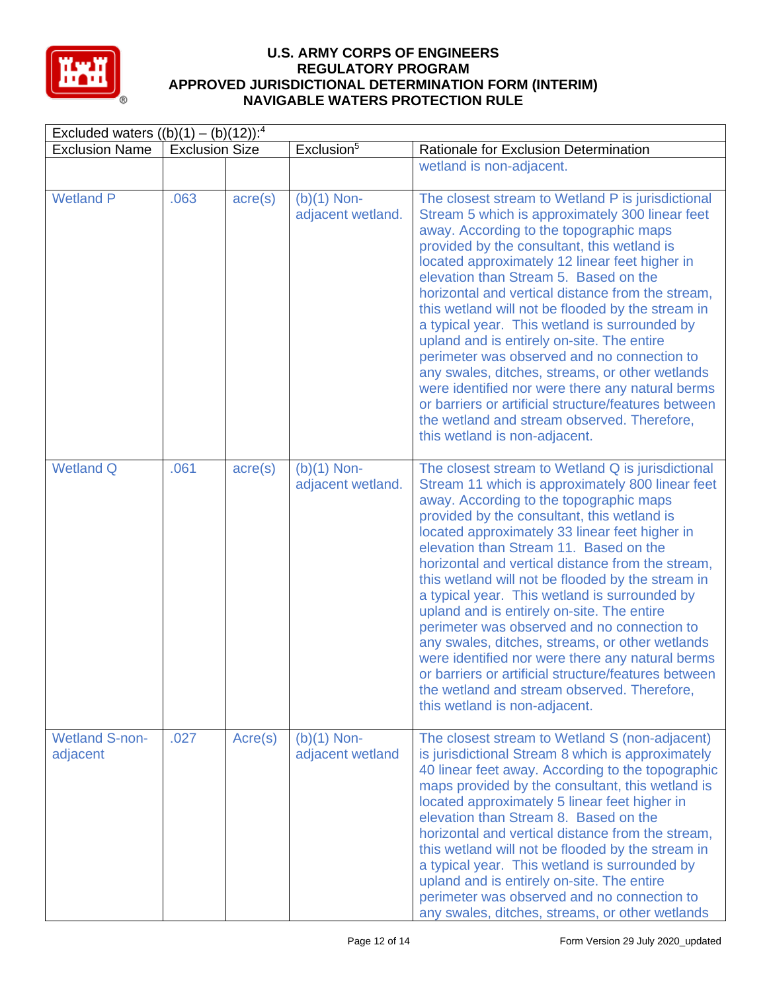

| Excluded waters $((b)(1) - (b)(12))$ : <sup>4</sup><br>Exclusion <sup>5</sup> |                       |                  |                                    |                                                                                                                                                                                                                                                                                                                                                                                                                                                                                                                                                                                                                                                                                                                                                                                                    |  |  |  |  |
|-------------------------------------------------------------------------------|-----------------------|------------------|------------------------------------|----------------------------------------------------------------------------------------------------------------------------------------------------------------------------------------------------------------------------------------------------------------------------------------------------------------------------------------------------------------------------------------------------------------------------------------------------------------------------------------------------------------------------------------------------------------------------------------------------------------------------------------------------------------------------------------------------------------------------------------------------------------------------------------------------|--|--|--|--|
| <b>Exclusion Name</b>                                                         | <b>Exclusion Size</b> |                  |                                    | Rationale for Exclusion Determination                                                                                                                                                                                                                                                                                                                                                                                                                                                                                                                                                                                                                                                                                                                                                              |  |  |  |  |
|                                                                               |                       |                  |                                    | wetland is non-adjacent.                                                                                                                                                                                                                                                                                                                                                                                                                                                                                                                                                                                                                                                                                                                                                                           |  |  |  |  |
| <b>Wetland P</b>                                                              | .063                  | $\text{acre}(s)$ | $(b)(1)$ Non-<br>adjacent wetland. | The closest stream to Wetland P is jurisdictional<br>Stream 5 which is approximately 300 linear feet<br>away. According to the topographic maps<br>provided by the consultant, this wetland is<br>located approximately 12 linear feet higher in<br>elevation than Stream 5. Based on the<br>horizontal and vertical distance from the stream,<br>this wetland will not be flooded by the stream in<br>a typical year. This wetland is surrounded by<br>upland and is entirely on-site. The entire<br>perimeter was observed and no connection to<br>any swales, ditches, streams, or other wetlands<br>were identified nor were there any natural berms<br>or barriers or artificial structure/features between<br>the wetland and stream observed. Therefore,<br>this wetland is non-adjacent.   |  |  |  |  |
| <b>Wetland Q</b>                                                              | .061                  | $\text{acre}(s)$ | $(b)(1)$ Non-<br>adjacent wetland. | The closest stream to Wetland Q is jurisdictional<br>Stream 11 which is approximately 800 linear feet<br>away. According to the topographic maps<br>provided by the consultant, this wetland is<br>located approximately 33 linear feet higher in<br>elevation than Stream 11. Based on the<br>horizontal and vertical distance from the stream,<br>this wetland will not be flooded by the stream in<br>a typical year. This wetland is surrounded by<br>upland and is entirely on-site. The entire<br>perimeter was observed and no connection to<br>any swales, ditches, streams, or other wetlands<br>were identified nor were there any natural berms<br>or barriers or artificial structure/features between<br>the wetland and stream observed. Therefore,<br>this wetland is non-adjacent. |  |  |  |  |
| <b>Wetland S-non-</b><br>adjacent                                             | .027                  | Acre(s)          | $(b)(1)$ Non-<br>adjacent wetland  | The closest stream to Wetland S (non-adjacent)<br>is jurisdictional Stream 8 which is approximately<br>40 linear feet away. According to the topographic<br>maps provided by the consultant, this wetland is<br>located approximately 5 linear feet higher in<br>elevation than Stream 8. Based on the<br>horizontal and vertical distance from the stream,<br>this wetland will not be flooded by the stream in<br>a typical year. This wetland is surrounded by<br>upland and is entirely on-site. The entire<br>perimeter was observed and no connection to<br>any swales, ditches, streams, or other wetlands                                                                                                                                                                                  |  |  |  |  |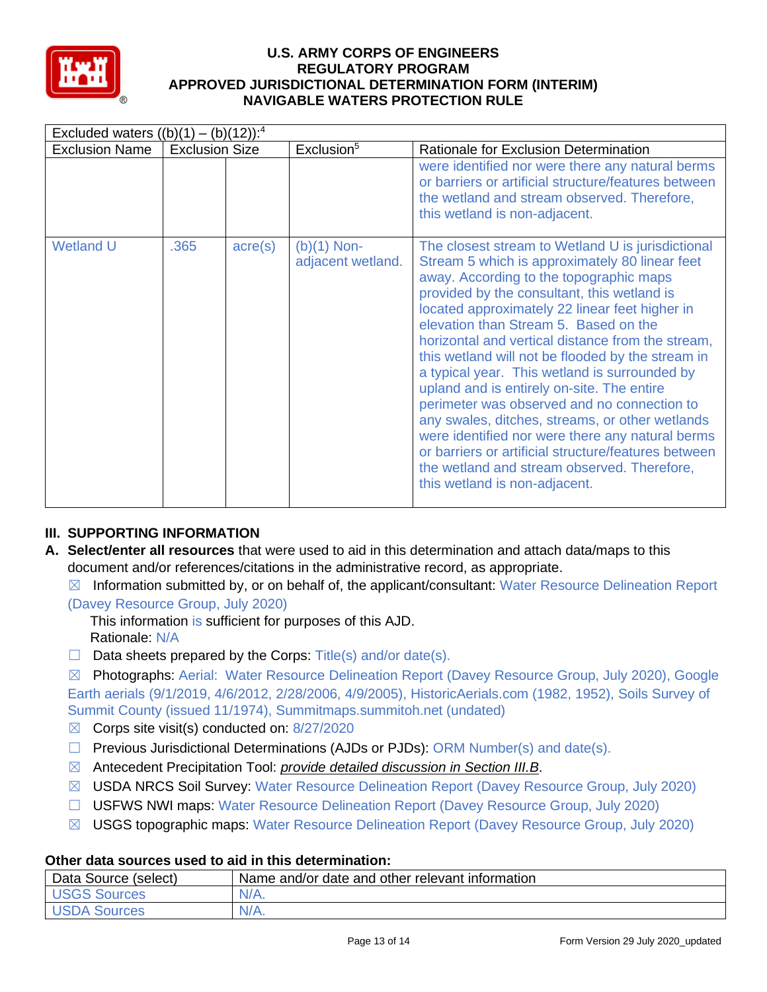

| Excluded waters $((b)(1) - (b)(12))$ : <sup>4</sup> |                       |                  |                                    |                                                                                                                                                                                                                                                                                                                                                                                                                                                                                                                                                                                                                                                                                                                                                                                                 |  |  |  |
|-----------------------------------------------------|-----------------------|------------------|------------------------------------|-------------------------------------------------------------------------------------------------------------------------------------------------------------------------------------------------------------------------------------------------------------------------------------------------------------------------------------------------------------------------------------------------------------------------------------------------------------------------------------------------------------------------------------------------------------------------------------------------------------------------------------------------------------------------------------------------------------------------------------------------------------------------------------------------|--|--|--|
| <b>Exclusion Name</b>                               | <b>Exclusion Size</b> |                  | Exclusion <sup>5</sup>             | Rationale for Exclusion Determination                                                                                                                                                                                                                                                                                                                                                                                                                                                                                                                                                                                                                                                                                                                                                           |  |  |  |
|                                                     |                       |                  |                                    | were identified nor were there any natural berms<br>or barriers or artificial structure/features between<br>the wetland and stream observed. Therefore,<br>this wetland is non-adjacent.                                                                                                                                                                                                                                                                                                                                                                                                                                                                                                                                                                                                        |  |  |  |
| <b>Wetland U</b>                                    | .365                  | $\text{acre}(s)$ | $(b)(1)$ Non-<br>adjacent wetland. | The closest stream to Wetland U is jurisdictional<br>Stream 5 which is approximately 80 linear feet<br>away. According to the topographic maps<br>provided by the consultant, this wetland is<br>located approximately 22 linear feet higher in<br>elevation than Stream 5. Based on the<br>horizontal and vertical distance from the stream,<br>this wetland will not be flooded by the stream in<br>a typical year. This wetland is surrounded by<br>upland and is entirely on-site. The entire<br>perimeter was observed and no connection to<br>any swales, ditches, streams, or other wetlands<br>were identified nor were there any natural berms<br>or barriers or artificial structure/features between<br>the wetland and stream observed. Therefore,<br>this wetland is non-adjacent. |  |  |  |

# **III. SUPPORTING INFORMATION**

**A. Select/enter all resources** that were used to aid in this determination and attach data/maps to this document and/or references/citations in the administrative record, as appropriate.

 $\boxtimes$  Information submitted by, or on behalf of, the applicant/consultant: Water Resource Delineation Report (Davey Resource Group, July 2020)

This information is sufficient for purposes of this AJD. Rationale: N/A

 $\Box$  Data sheets prepared by the Corps: Title(s) and/or date(s).

☒ Photographs: Aerial: Water Resource Delineation Report (Davey Resource Group, July 2020), Google Earth aerials (9/1/2019, 4/6/2012, 2/28/2006, 4/9/2005), HistoricAerials.com (1982, 1952), Soils Survey of Summit County (issued 11/1974), Summitmaps.summitoh.net (undated)

- $\boxtimes$  Corps site visit(s) conducted on: 8/27/2020
- $\Box$  Previous Jurisdictional Determinations (AJDs or PJDs): ORM Number(s) and date(s).
- ☒ Antecedent Precipitation Tool: *provide detailed discussion in Section III.B*.
- ☒ USDA NRCS Soil Survey: Water Resource Delineation Report (Davey Resource Group, July 2020)
- ☐ USFWS NWI maps: Water Resource Delineation Report (Davey Resource Group, July 2020)
- ☒ USGS topographic maps: Water Resource Delineation Report (Davey Resource Group, July 2020)

#### **Other data sources used to aid in this determination:**

| Data Source (select) | Name and/or date and other relevant information |
|----------------------|-------------------------------------------------|
| <b>USGS Sources</b>  | $N/A$ .                                         |
| USDA Sources         | $N/A$ .                                         |